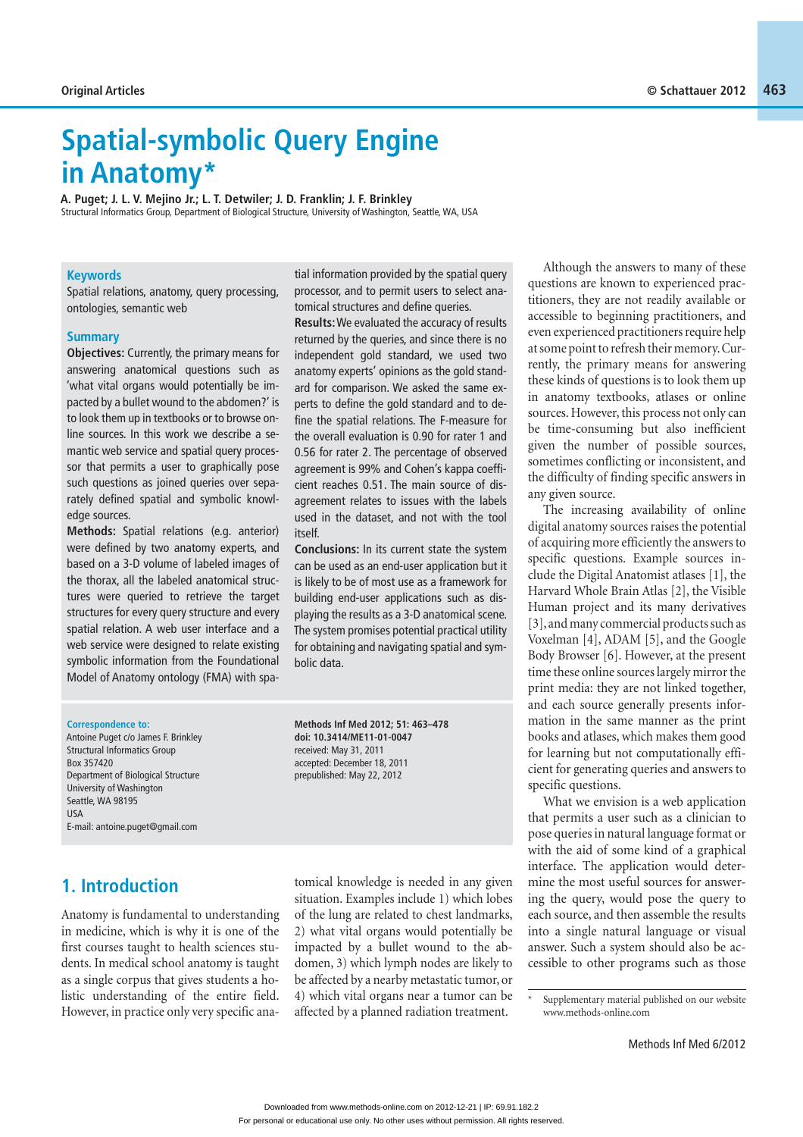# **Spatial-symbolic Query Engine in Anatomy\***

**A. Puget; J. L. V. Mejino Jr.; L. T. Detwiler; J. D. Franklin; J. F. Brinkley**  Structural Informatics Group, Department of Biological Structure, University of Washington, Seattle, WA, USA

#### **Keywords**

Spatial relations, anatomy, query processing, ontologies, semantic web

#### **Summary**

**Objectives:** Currently, the primary means for answering anatomical questions such as 'what vital organs would potentially be impacted by a bullet wound to the abdomen?' is to look them up in textbooks or to browse online sources. In this work we describe a semantic web service and spatial query processor that permits a user to graphically pose such questions as joined queries over separately defined spatial and symbolic knowledge sources.

**Methods:** Spatial relations (e.g. anterior) were defined by two anatomy experts, and based on a 3-D volume of labeled images of the thorax, all the labeled anatomical structures were queried to retrieve the target structures for every query structure and every spatial relation. A web user interface and a web service were designed to relate existing symbolic information from the Foundational Model of Anatomy ontology (FMA) with spatial information provided by the spatial query processor, and to permit users to select anatomical structures and define queries.

**Results:** We evaluated the accuracy of results returned by the queries, and since there is no independent gold standard, we used two anatomy experts' opinions as the gold standard for comparison. We asked the same experts to define the gold standard and to define the spatial relations. The F-measure for the overall evaluation is 0.90 for rater 1 and 0.56 for rater 2. The percentage of observed agreement is 99% and Cohen's kappa coefficient reaches 0.51. The main source of disagreement relates to issues with the labels used in the dataset, and not with the tool itself.

**Conclusions:** In its current state the system can be used as an end-user application but it is likely to be of most use as a framework for building end-user applications such as displaying the results as a 3-D anatomical scene. The system promises potential practical utility for obtaining and navigating spatial and symbolic data.

#### **Correspondence to:**

Antoine Puget c/o James F. Brinkley Structural Informatics Group Box 357420 Department of Biological Structure University of Washington Seattle, WA 98195 USA E-mail: antoine.puget@gmail.com

**1. Introduction** 

Anatomy is fundamental to understanding in medicine, which is why it is one of the first courses taught to health sciences students. In medical school anatomy is taught as a single corpus that gives students a holistic understanding of the entire field. However, in practice only very specific ana-

**Methods Inf Med 2012; 51: 463–478 doi: 10.3414/ME11-01-0047**  received: May 31, 2011 accepted: December 18, 2011 prepublished: May 22, 2012

tomical knowledge is needed in any given situation. Examples include 1) which lobes of the lung are related to chest landmarks, 2) what vital organs would potentially be impacted by a bullet wound to the abdomen, 3) which lymph nodes are likely to be affected by a nearby metastatic tumor, or 4) which vital organs near a tumor can be affected by a planned radiation treatment.

Although the answers to many of these questions are known to experienced practitioners, they are not readily available or accessible to beginning practitioners, and even experienced practitioners require help at some point to refresh their memory. Currently, the primary means for answering these kinds of questions is to look them up in anatomy textbooks, atlases or online sources. However, this process not only can be time-consuming but also inefficient given the number of possible sources, sometimes conflicting or inconsistent, and the difficulty of finding specific answers in any given source.

The increasing availability of online digital anatomy sources raises the potential of acquiring more efficiently the answers to specific questions. Example sources include the Digital Anatomist atlases [1], the Harvard Whole Brain Atlas [2], the Visible Human project and its many derivatives [3], and many commercial products such as Voxelman [4], ADAM [5], and the Google Body Browser [6]. However, at the present time these online sources largely mirror the print media: they are not linked together, and each source generally presents information in the same manner as the print books and atlases, which makes them good for learning but not computationally efficient for generating queries and answers to specific questions.

What we envision is a web application that permits a user such as a clinician to pose queries in natural language format or with the aid of some kind of a graphical interface. The application would determine the most useful sources for answering the query, would pose the query to each source, and then assemble the results into a single natural language or visual answer. Such a system should also be accessible to other programs such as those

Methods Inf Med 6/2012

Supplementary material published on our website www.methods-online.com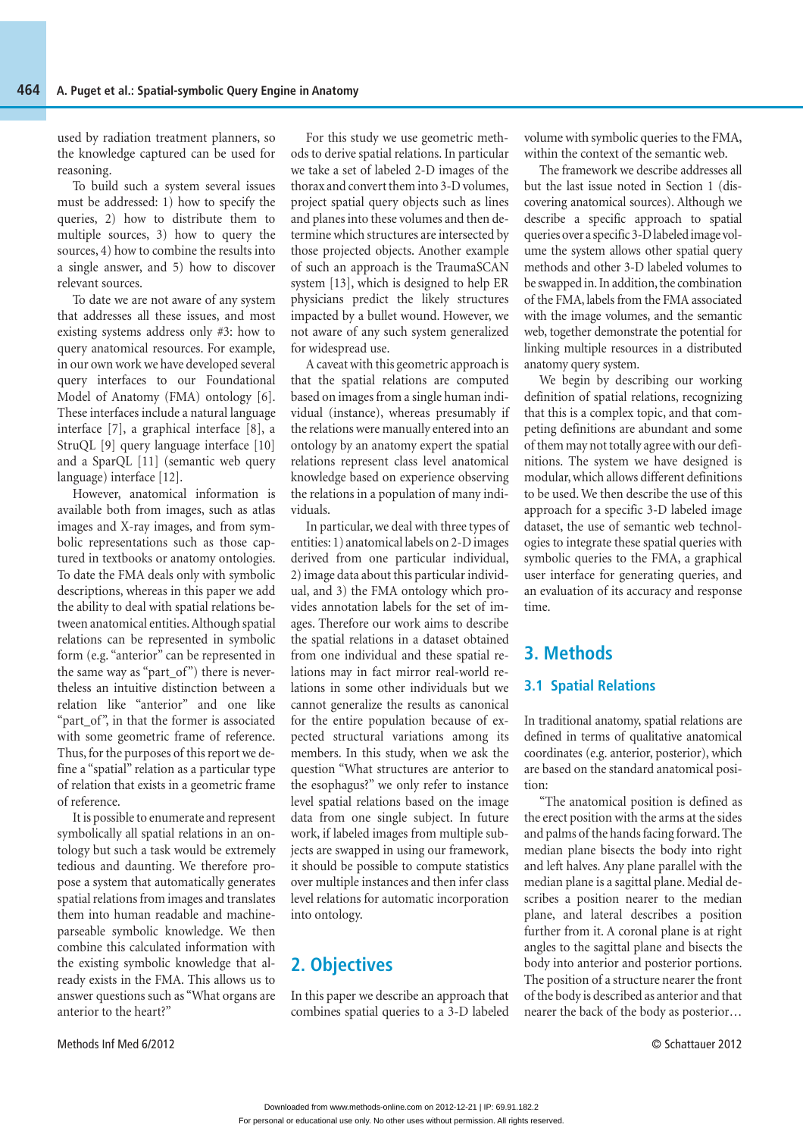used by radiation treatment planners, so the knowledge captured can be used for reasoning.

To build such a system several issues must be addressed: 1) how to specify the queries, 2) how to distribute them to multiple sources, 3) how to query the sources, 4) how to combine the results into a single answer, and 5) how to discover relevant sources.

To date we are not aware of any system that addresses all these issues, and most existing systems address only #3: how to query anatomical resources. For example, in our own work we have developed several query interfaces to our Foundational Model of Anatomy (FMA) ontology [6]. These interfaces include a natural language interface [7], a graphical interface [8], a StruQL [9] query language interface [10] and a SparQL [11] (semantic web query language) interface [12].

However, anatomical information is available both from images, such as atlas images and X-ray images, and from symbolic representations such as those captured in textbooks or anatomy ontologies. To date the FMA deals only with symbolic descriptions, whereas in this paper we add the ability to deal with spatial relations between anatomical entities. Although spatial relations can be represented in symbolic form (e.g. "anterior" can be represented in the same way as "part\_of") there is nevertheless an intuitive distinction between a relation like "anterior" and one like "part of", in that the former is associated with some geometric frame of reference. Thus, for the purposes of this report we define a "spatial" relation as a particular type of relation that exists in a geometric frame of reference.

It is possible to enumerate and represent symbolically all spatial relations in an ontology but such a task would be extremely tedious and daunting. We therefore propose a system that automatically generates spatial relations from images and translates them into human readable and machineparseable symbolic knowledge. We then combine this calculated information with the existing symbolic knowledge that already exists in the FMA. This allows us to answer questions such as "What organs are anterior to the heart?"

For this study we use geometric methods to derive spatial relations. In particular we take a set of labeled 2-D images of the thorax and convert them into 3-D volumes, project spatial query objects such as lines and planes into these volumes and then determine which structures are intersected by those projected objects. Another example of such an approach is the TraumaSCAN system [13], which is designed to help ER physicians predict the likely structures impacted by a bullet wound. However, we not aware of any such system generalized for widespread use.

A caveat with this geometric approach is that the spatial relations are computed based on images from a single human individual (instance), whereas presumably if the relations were manually entered into an ontology by an anatomy expert the spatial relations represent class level anatomical knowledge based on experience observing the relations in a population of many individuals.

In particular, we deal with three types of entities: 1) anatomical labels on 2-D images derived from one particular individual, 2) image data about this particular individual, and 3) the FMA ontology which provides annotation labels for the set of images. Therefore our work aims to describe the spatial relations in a dataset obtained from one individual and these spatial relations may in fact mirror real-world relations in some other individuals but we cannot generalize the results as canonical for the entire population because of expected structural variations among its members. In this study, when we ask the question "What structures are anterior to the esophagus?" we only refer to instance level spatial relations based on the image data from one single subject. In future work, if labeled images from multiple subjects are swapped in using our framework, it should be possible to compute statistics over multiple instances and then infer class level relations for automatic incorporation into ontology.

# **2. Objectives**

In this paper we describe an approach that combines spatial queries to a 3-D labeled volume with symbolic queries to the FMA, within the context of the semantic web.

The framework we describe addresses all but the last issue noted in Section 1 (discovering anatomical sources). Although we describe a specific approach to spatial queries over a specific 3-D labeled image volume the system allows other spatial query methods and other 3-D labeled volumes to be swapped in. In addition, the combination of the FMA, labels from the FMA associated with the image volumes, and the semantic web, together demonstrate the potential for linking multiple resources in a distributed anatomy query system.

We begin by describing our working definition of spatial relations, recognizing that this is a complex topic, and that competing definitions are abundant and some of them may not totally agree with our definitions. The system we have designed is modular, which allows different definitions to be used. We then describe the use of this approach for a specific 3-D labeled image dataset, the use of semantic web technologies to integrate these spatial queries with symbolic queries to the FMA, a graphical user interface for generating queries, and an evaluation of its accuracy and response time.

## **3.Methods**

## **3.1 Spatial Relations**

In traditional anatomy, spatial relations are defined in terms of qualitative anatomical coordinates (e.g. anterior, posterior), which are based on the standard anatomical position:

 "The anatomical position is defined as the erect position with the arms at the sides and palms of the hands facing forward. The median plane bisects the body into right and left halves. Any plane parallel with the median plane is a sagittal plane. Medial describes a position nearer to the median plane, and lateral describes a position further from it. A coronal plane is at right angles to the sagittal plane and bisects the body into anterior and posterior portions. The position of a structure nearer the front of the body is described as anterior and that nearer the back of the body as posterior…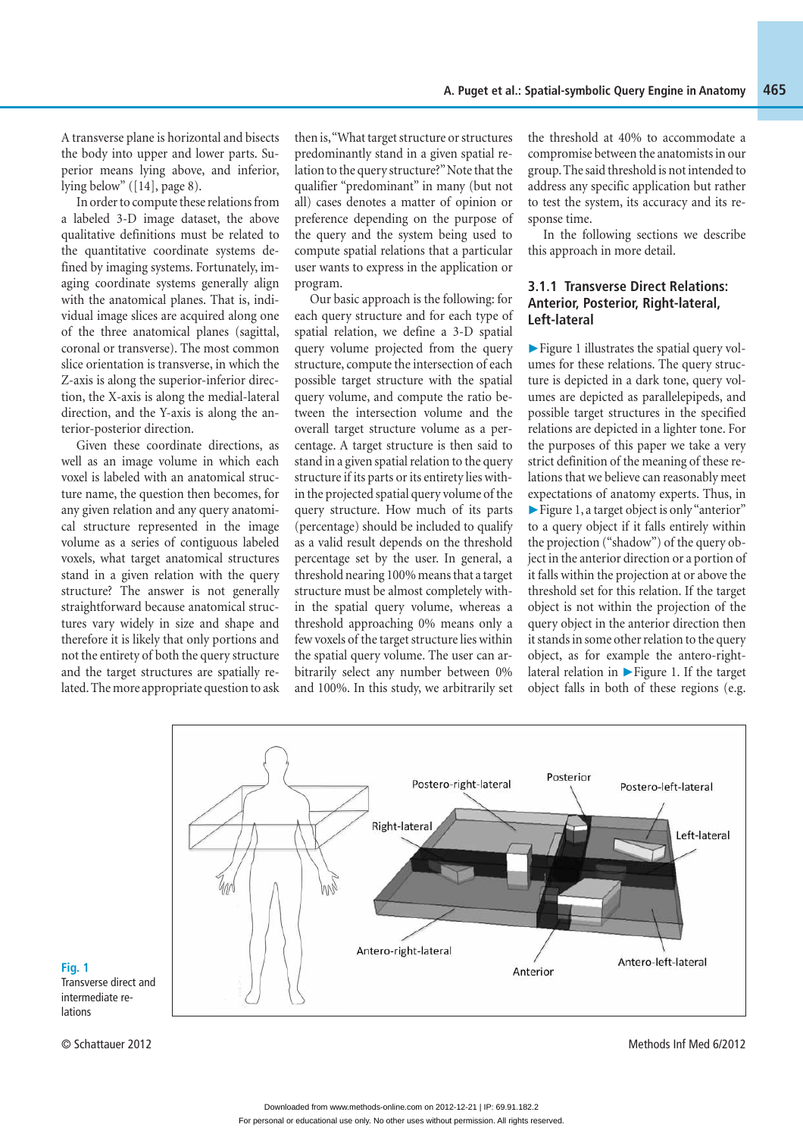A transverse plane is horizontal and bisects the body into upper and lower parts. Superior means lying above, and inferior,  $\mu$ iving below" ([14], page 8).

In order to compute these relations from a labeled 3-D image dataset, the above qualitative definitions must be related to the quantitative coordinate systems defined by imaging systems. Fortunately, imaging coordinate systems generally align with the anatomical planes. That is, individual image slices are acquired along one of the three anatomical planes (sagittal, coronal or transverse). The most common slice orientation is transverse, in which the Z-axis is along the superior-inferior direction, the X-axis is along the medial-lateral direction, and the Y-axis is along the anterior-posterior direction.

Given these coordinate directions, as well as an image volume in which each voxel is labeled with an anatomical structure name, the question then becomes, for any given relation and any query anatomical structure represented in the image volume as a series of contiguous labeled voxels, what target anatomical structures stand in a given relation with the query structure? The answer is not generally straightforward because anatomical structures vary widely in size and shape and therefore it is likely that only portions and not the entirety of both the query structure and the target structures are spatially related. The more appropriate question to ask

then is, "What target structure or structures predominantly stand in a given spatial relation to the query structure?" Note that the qualifier "predominant" in many (but not all) cases denotes a matter of opinion or preference depending on the purpose of the query and the system being used to compute spatial relations that a particular user wants to express in the application or program.

Our basic approach is the following: for each query structure and for each type of spatial relation, we define a 3-D spatial query volume projected from the query structure, compute the intersection of each possible target structure with the spatial query volume, and compute the ratio between the intersection volume and the overall target structure volume as a per centage. A target structure is then said to stand in a given spatial relation to the query structure if its parts or its entirety lies within the projected spatial query volume of the query structure. How much of its parts (percentage) should be included to qualify as a valid result depends on the threshold percentage set by the user. In general, a threshold nearing 100% means that a target structure must be almost completely within the spatial query volume, whereas a threshold approaching 0% means only a few voxels of the target structure lies within the spatial query volume. The user can arbitrarily select any number between 0% and 100%. In this study, we arbitrarily set

the threshold at 40% to accommodate a compromise between the anatomists in our group. The said threshold is not intended to address any specific application but rather to test the system, its accuracy and its response time.

In the following sections we describe this approach in more detail.

### **3.1.1 Transverse Direct Relations: Anterior, Posterior, Right-lateral, Left-lateral**

-Figure 1 illustrates the spatial query volumes for these relations. The query structure is depicted in a dark tone, query volumes are depicted as parallelepipeds, and possible target structures in the specified relations are depicted in a lighter tone. For the purposes of this paper we take a very strict definition of the meaning of these relations that we believe can reasonably meet expectations of anatomy experts. Thus, in ► Figure 1, a target object is only "anterior" to a query object if it falls entirely within the projection ("shadow") of the query object in the anterior direction or a portion of it falls within the projection at or above the threshold set for this relation. If the target object is not within the projection of the query object in the anterior direction then it stands in some other relation to the query object, as for example the antero-right lateral relation in  $\blacktriangleright$  Figure 1. If the target object falls in both of these regions (e.g.



**Fig. 1** Transverse direct and intermediate relations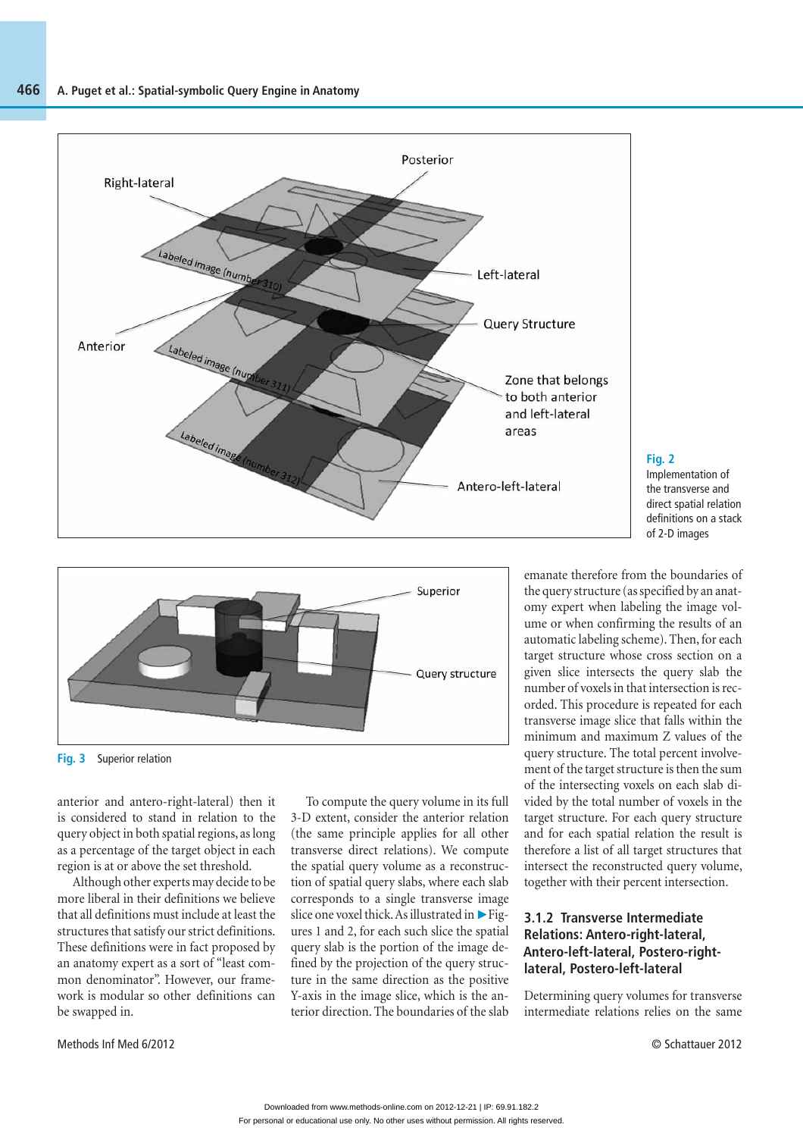

**Fig. 2**  Implementation of the transverse and direct spatial relation definitions on a stack of 2-D images



**Fig. 3** Superior relation

 anterior and antero-right-lateral) then it is considered to stand in relation to the query object in both spatial regions, as long as a percentage of the target object in each region is at or above the set threshold.

Although other experts may decide to be more liberal in their definitions we believe that all definitions must include at least the structures that satisfy our strict definitions. These definitions were in fact proposed by an anatomy expert as a sort of "least common denominator". However, our framework is modular so other definitions can be swapped in.

Methods Inf Med 6/2012 © Schattauer 2012

To compute the query volume in its full 3-D extent, consider the anterior relation (the same principle applies for all other transverse direct relations). We compute the spatial query volume as a reconstruction of spatial query slabs, where each slab corresponds to a single transverse image slice one voxel thick. As illustrated in  $\blacktriangleright$  Figures 1 and 2, for each such slice the spatial query slab is the portion of the image defined by the projection of the query structure in the same direction as the positive Y-axis in the image slice, which is the an terior direction. The boundaries of the slab

emanate therefore from the boundaries of the query structure (as specified by an anatomy expert when labeling the image volume or when confirming the results of an automatic labeling scheme). Then, for each target structure whose cross section on a given slice intersects the query slab the number of voxels in that intersection is recorded. This procedure is repeated for each transverse image slice that falls within the minimum and maximum Z values of the query structure. The total percent involvement of the target structure is then the sum of the intersecting voxels on each slab divided by the total number of voxels in the target structure. For each query structure and for each spatial relation the result is therefore a list of all target structures that intersect the reconstructed query volume, together with their percent intersection.

## **3.1.2 Transverse Intermediate Relations: Antero-right-lateral, Antero-left-lateral, Postero-rightlateral, Postero-left-lateral**

Determining query volumes for transverse intermediate relations relies on the same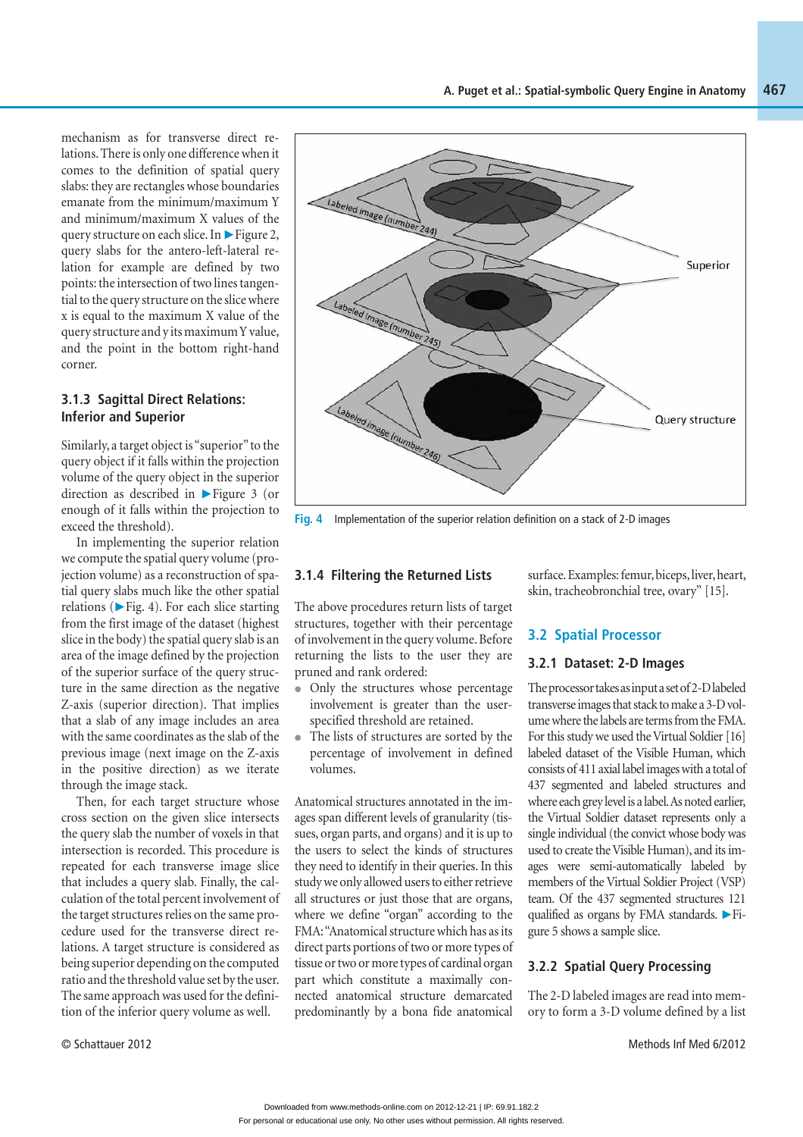mechanism as for transverse direct relations. There is only one difference when it comes to the definition of spatial query slabs: they are rectangles whose boundaries emanate from the minimum/maximum Y and minimum/maximum X values of the query structure on each slice. In  $\blacktriangleright$  Figure 2, query slabs for the antero-left-lateral relation for example are defined by two points: the intersection of two lines tangential to the query structure on the slice where x is equal to the maximum X value of the query structure and y its maximum Y value, and the point in the bottom right-hand corner.

#### **3.1.3 Sagittal Direct Relations: Inferior and Superior**

Similarly, a target object is "superior" to the query object if it falls within the projection volume of the query object in the superior direction as described in  $\blacktriangleright$  Figure 3 (or enough of it falls within the projection to exceed the threshold).

In implementing the superior relation we compute the spatial query volume (projection volume) as a reconstruction of spatial query slabs much like the other spatial relations ( $\blacktriangleright$  Fig. 4). For each slice starting from the first image of the dataset (highest slice in the body) the spatial query slab is an area of the image defined by the projection of the superior surface of the query structure in the same direction as the negative Z-axis (superior direction). That implies that a slab of any image includes an area with the same coordinates as the slab of the previous image (next image on the Z-axis in the positive direction) as we iterate through the image stack.

Then, for each target structure whose cross section on the given slice intersects the query slab the number of voxels in that intersection is recorded. This procedure is repeated for each transverse image slice that includes a query slab. Finally, the calculation of the total percent involvement of the target structures relies on the same procedure used for the transverse direct relations. A target structure is considered as being superior depending on the computed ratio and the threshold value set by the user. The same approach was used for the definition of the inferior query volume as well.



**Fig. 4** Implementation of the superior relation definition on a stack of 2-D images

#### **3.1.4 Filtering the Returned Lists**

The above procedures return lists of target structures, together with their percentage of involvement in the query volume. Before returning the lists to the user they are pruned and rank ordered:

- Only the structures whose percentage involvement is greater than the userspecified threshold are retained.
- The lists of structures are sorted by the percentage of involvement in defined volumes.

Anatomical structures annotated in the images span different levels of granularity (tissues, organ parts, and organs) and it is up to the users to select the kinds of structures they need to identify in their queries. In this study we only allowed users to either retrieve all structures or just those that are organs, where we define "organ" according to the FMA: "Anatomical structure which has as its direct parts portions of two or more types of tissue or two or more types of cardinal organ part which constitute a maximally connected anatomical structure demarcated predominantly by a bona fide anatomical surface. Examples: femur, biceps, liver, heart, skin, tracheobronchial tree, ovary" [15].

### **3.2 Spatial Processor**

#### **3.2.1 Dataset: 2-D Images**

The processor takes as input a set of 2-D labeled transverse images that stack to make a 3-D volume where the labels are terms from the FMA. For this study we used the Virtual Soldier [16] labeled dataset of the Visible Human, which consists of 411 axial label images with a total of 437 segmented and labeled structures and where each grey level is a label. As noted earlier, the Virtual Soldier dataset represents only a single individual (the convict whose body was used to create the Visible Human), and its images were semi-automatically labeled by members of the Virtual Soldier Project (VSP) team. Of the 437 segmented structures 121 qualified as organs by FMA standards.  $\blacktriangleright$  Figure 5 shows a sample slice.

## **3.2.2 Spatial Query Processing**

The 2-D labeled images are read into memory to form a 3-D volume defined by a list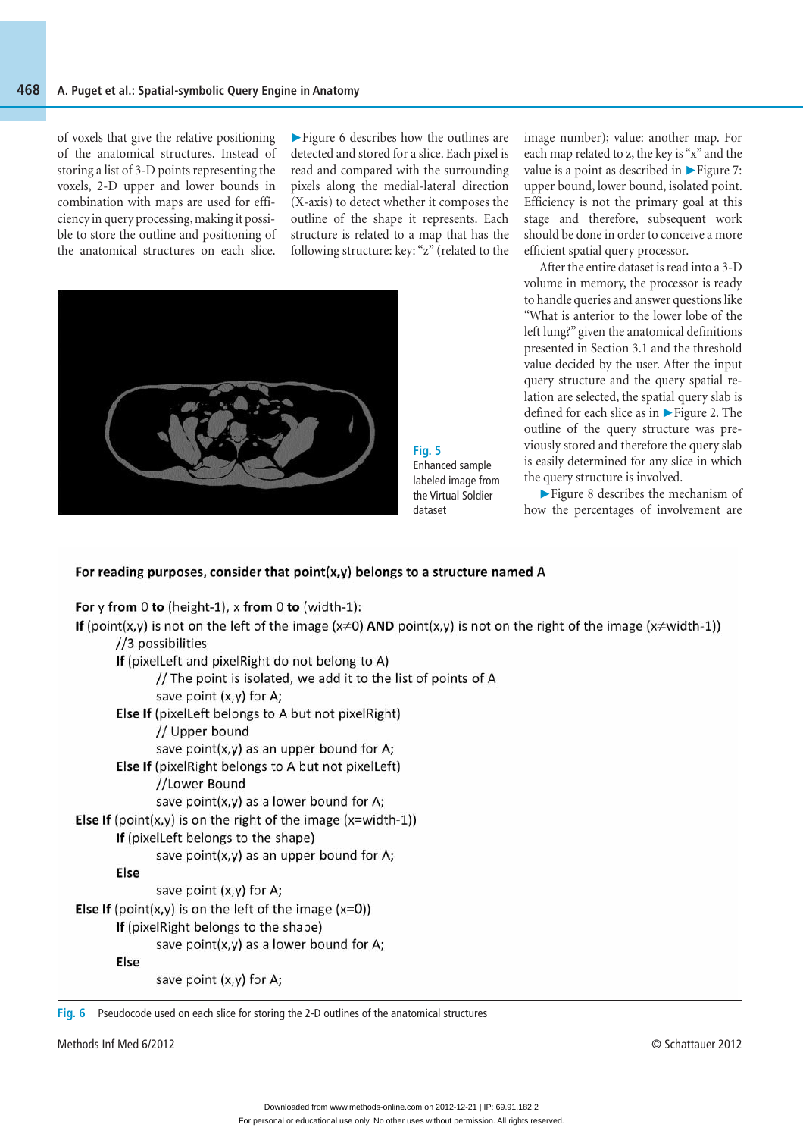of voxels that give the relative positioning of the anatomical structures. Instead of storing a list of 3-D points representing the voxels, 2-D upper and lower bounds in combination with maps are used for efficiency in query processing, making it possible to store the outline and positioning of the anatomical structures on each slice.

-Figure 6 describes how the outlines are detected and stored for a slice. Each pixel is read and compared with the surrounding pixels along the medial-lateral direction (X-axis) to detect whether it composes the outline of the shape it represents. Each structure is related to a map that has the following structure: key: "z" (related to the



**Fig. 5** Enhanced sample labeled image from the Virtual Soldier dataset

image number); value: another map. For each map related to z, the key is "x" and the value is a point as described in  $\blacktriangleright$  Figure 7: upper bound, lower bound, isolated point. Efficiency is not the primary goal at this stage and therefore, subsequent work should be done in order to conceive a more efficient spatial query processor.

After the entire dataset is read into a 3-D volume in memory, the processor is ready to handle queries and answer questions like "What is anterior to the lower lobe of the left lung?" given the anatomical definitions presented in Section 3.1 and the threshold value decided by the user. After the input query structure and the query spatial relation are selected, the spatial query slab is defined for each slice as in  $\blacktriangleright$  Figure 2. The outline of the query structure was previously stored and therefore the query slab is easily determined for any slice in which the query structure is involved.

-Figure 8 describes the mechanism of how the percentages of involvement are

# For reading purposes, consider that point $(x, y)$  belongs to a structure named A For y from 0 to (height-1), x from 0 to (width-1): If (point(x,y) is not on the left of the image ( $x\neq 0$ ) AND point(x,y) is not on the right of the image ( $x\neq$ width-1)) //3 possibilities If (pixelLeft and pixelRight do not belong to A) // The point is isolated, we add it to the list of points of A save point (x,y) for A; Else If (pixelLeft belongs to A but not pixelRight) // Upper bound save point $(x,y)$  as an upper bound for A; Else If (pixelRight belongs to A but not pixelLeft) //Lower Bound save point(x,y) as a lower bound for A; Else If (point(x,y) is on the right of the image ( $x=width-1$ )) If (pixelLeft belongs to the shape) save point(x,y) as an upper bound for A; Else save point  $(x,y)$  for A; Else If (point(x,y) is on the left of the image  $(x=0)$ ) If (pixelRight belongs to the shape) save point $(x,y)$  as a lower bound for A; Else save point (x,y) for A;

**Fig. 6** Pseudocode used on each slice for storing the 2-D outlines of the anatomical structures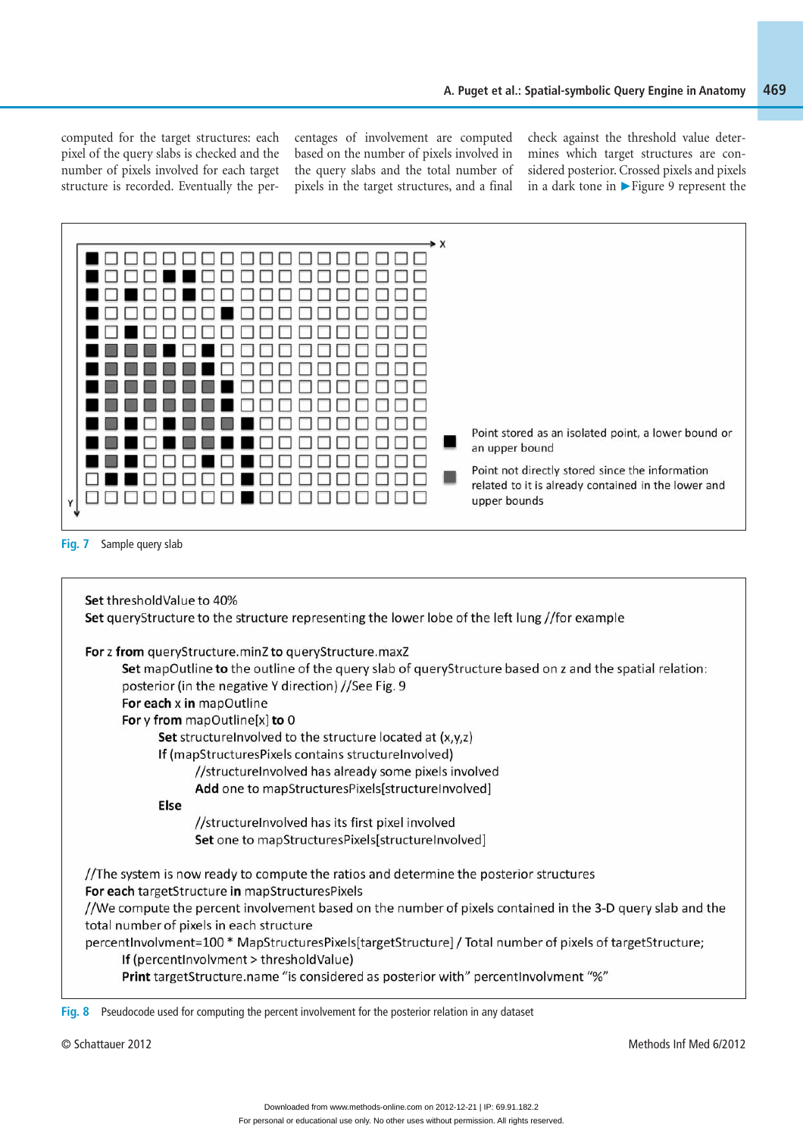computed for the target structures: each pixel of the query slabs is checked and the number of pixels involved for each target structure is recorded. Eventually the percentages of involvement are computed based on the number of pixels involved in the query slabs and the total number of pixels in the target structures, and a final check against the threshold value determines which target structures are considered posterior. Crossed pixels and pixels in a dark tone in  $\blacktriangleright$  Figure 9 represent the



**Fig. 7** Sample query slab

| Set threshold Value to 40%                                                                                 |
|------------------------------------------------------------------------------------------------------------|
| Set queryStructure to the structure representing the lower lobe of the left lung //for example             |
| For z from queryStructure.minZ to queryStructure.maxZ                                                      |
| Set mapOutline to the outline of the query slab of queryStructure based on z and the spatial relation:     |
| posterior (in the negative Y direction) //See Fig. 9                                                       |
| For each x in mapOutline                                                                                   |
| For y from mapOutline[x] to 0                                                                              |
| Set structurelnvolved to the structure located at (x,y,z)                                                  |
| If (mapStructuresPixels contains structureInvolved)                                                        |
| //structureInvolved has already some pixels involved                                                       |
| Add one to mapStructuresPixels[structureInvolved]                                                          |
| Else                                                                                                       |
| //structureInvolved has its first pixel involved                                                           |
| Set one to mapStructuresPixels[structureInvolved]                                                          |
| //The system is now ready to compute the ratios and determine the posterior structures                     |
| For each targetStructure in mapStructuresPixels                                                            |
| //We compute the percent involvement based on the number of pixels contained in the 3-D query slab and the |
| total number of pixels in each structure                                                                   |
| percentInvolvment=100 * MapStructuresPixels[targetStructure] / Total number of pixels of targetStructure;  |
| If (percentInvolvment > thresholdValue)                                                                    |
| Print targetStructure.name "is considered as posterior with" percentInvolvment "%"                         |

**Fig. 8** Pseudocode used for computing the percent involvement for the posterior relation in any dataset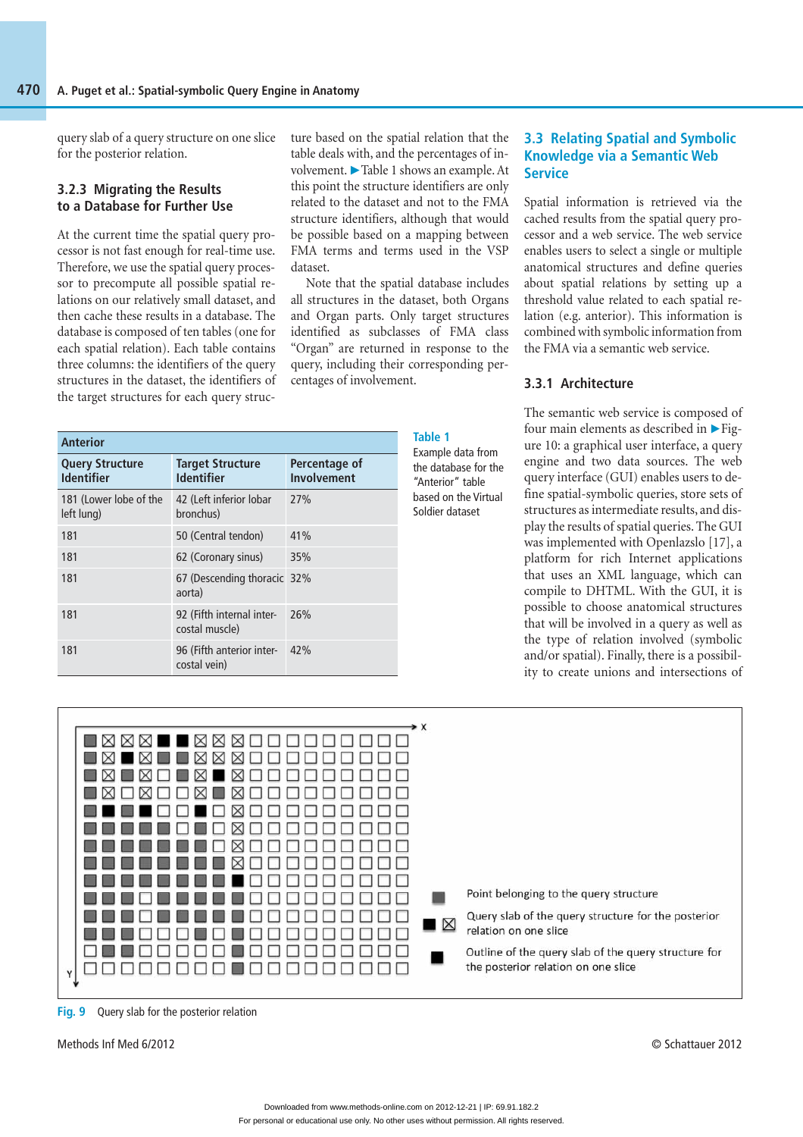query slab of a query structure on one slice for the posterior relation.

#### **3.2.3 Migrating the Results to a Database for Further Use**

At the current time the spatial query processor is not fast enough for real-time use. Therefore, we use the spatial query processor to precompute all possible spatial relations on our relatively small dataset, and then cache these results in a database. The database is composed of ten tables (one for each spatial relation). Each table contains three columns: the identifiers of the query structures in the dataset, the identifiers of the target structures for each query struc-

> **Target Structure Identifier**

42 (Left inferior lobar

bronchus)

costal muscle)

costal vein)

181 50 (Central tendon) 41% 181 62 (Coronary sinus) 35% 181 67 (Descending thoracic 32% aorta)

181 92 (Fifth internal inter-

181 96 (Fifth anterior inter-

**Anterior** 

left lung)

**Query Structure Identifier** 

181 (Lower lobe of the

ture based on the spatial relation that the table deals with, and the percentages of involvement. lable 1 shows an example. At this point the structure identifiers are only related to the dataset and not to the FMA structure identifiers, although that would be possible based on a mapping between FMA terms and terms used in the VSP dataset.

Note that the spatial database includes all structures in the dataset, both Organs and Organ parts. Only target structures identified as subclasses of FMA class "Organ" are returned in response to the query, including their corresponding percentages of involvement.

**Percentage of Involvement** 

27%

26%

 $120%$ 

**Table 1**

Example data from the database for the "Anterior" table based on the Virtual Soldier dataset

#### **3.3 Relating Spatial and Symbolic Knowledge via a Semantic Web Service**

Spatial information is retrieved via the cached results from the spatial query processor and a web service. The web service enables users to select a single or multiple anatomical structures and define queries about spatial relations by setting up a threshold value related to each spatial relation (e.g. anterior). This information is combined with symbolic information from the FMA via a semantic web service.

#### **3.3.1 Architecture**

The semantic web service is composed of four main elements as described in  $\blacktriangleright$  Figure 10: a graphical user interface, a query engine and two data sources. The web query interface (GUI) enables users to define spatial-symbolic queries, store sets of structures as intermediate results, and display the results of spatial queries. The GUI was implemented with Openlazslo [17], a platform for rich Internet applications that uses an XML language, which can compile to DHTML. With the GUI, it is possible to choose anatomical structures that will be involved in a query as well as the type of relation involved (symbolic and/or spatial). Finally, there is a possibility to create unions and intersections of



**Fig. 9** Query slab for the posterior relation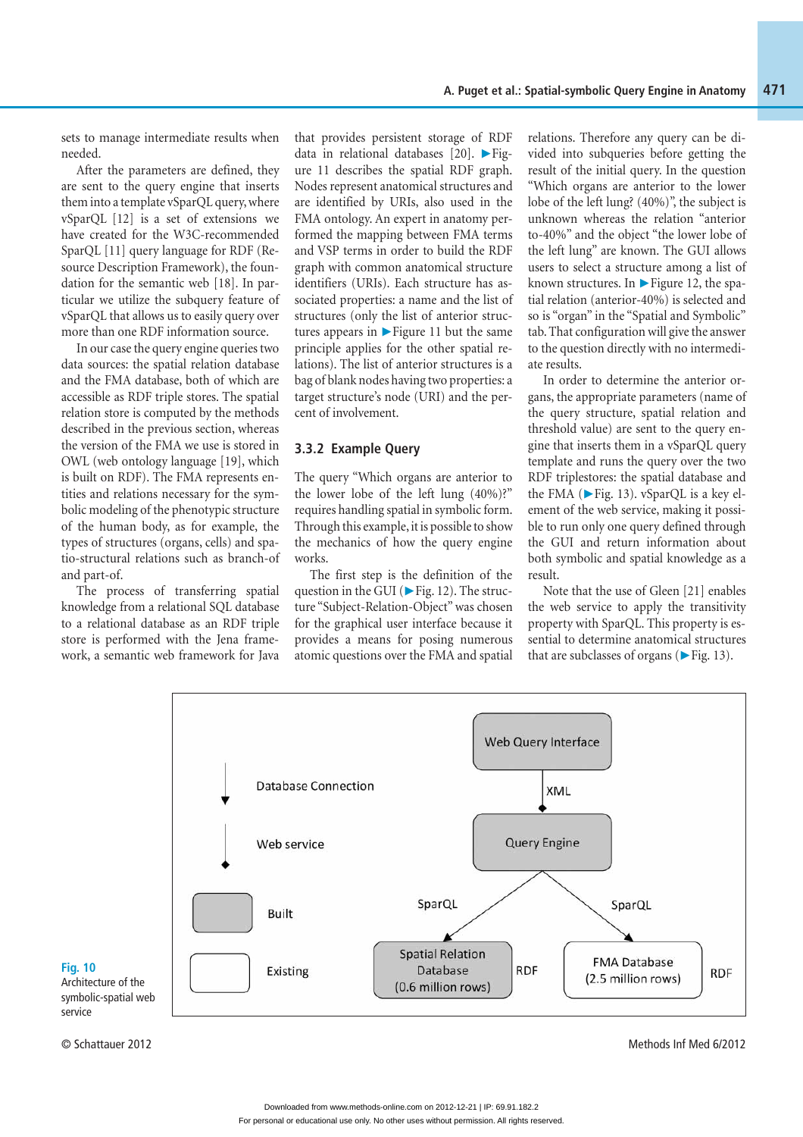sets to manage intermediate results when needed.

After the parameters are defined, they are sent to the query engine that inserts them into a template vSparQL query, where vSparQL [12] is a set of extensions we have created for the W3C-recommended SparQL [11] query language for RDF (Resource Description Framework), the foundation for the semantic web [18]. In particular we utilize the subquery feature of vSparQL that allows us to easily query over more than one RDF information source.

In our case the query engine queries two data sources: the spatial relation database and the FMA database, both of which are accessible as RDF triple stores. The spatial relation store is computed by the methods described in the previous section, whereas the version of the FMA we use is stored in OWL (web ontology language [19], which is built on RDF). The FMA represents entities and relations necessary for the symbolic modeling of the phenotypic structure of the human body, as for example, the types of structures (organs, cells) and spatio-structural relations such as branch-of and part-of.

The process of transferring spatial knowledge from a relational SQL database to a relational database as an RDF triple store is performed with the Jena framework, a semantic web framework for Java

that provides persistent storage of RDF data in relational databases  $[20]$ . Fig ure 11 describes the spatial RDF graph. Nodes represent anatomical structures and are identified by URIs, also used in the FMA ontology. An expert in anatomy performed the mapping between FMA terms and VSP terms in order to build the RDF graph with common anatomical structure identifiers (URIs). Each structure has associated properties: a name and the list of structures (only the list of anterior structures appears in  $\blacktriangleright$  Figure 11 but the same principle applies for the other spatial relations). The list of anterior structures is a bag of blank nodes having two properties: a target structure's node (URI) and the percent of involvement.

#### **3.3.2 Example Query**

The query "Which organs are anterior to the lower lobe of the left lung (40%)?" requires handling spatial in symbolic form. Through this example, it is possible to show the mechanics of how the query engine works.

The first step is the definition of the question in the GUI ( $\blacktriangleright$  Fig. 12). The structure "Subject-Relation-Object" was chosen for the graphical user interface because it provides a means for posing numerous atomic questions over the FMA and spatial relations. Therefore any query can be divided into subqueries before getting the result of the initial query. In the question "Which organs are anterior to the lower lobe of the left lung? (40%)", the subject is unknown whereas the relation "anterior to-40%" and the object "the lower lobe of the left lung" are known. The GUI allows users to select a structure among a list of known structures. In ▶Figure 12, the spatial relation (anterior-40%) is selected and so is "organ" in the "Spatial and Symbolic" tab. That configuration will give the answer to the question directly with no intermediate results.

In order to determine the anterior organs, the appropriate parameters (name of the query structure, spatial relation and threshold value) are sent to the query engine that inserts them in a vSparQL query template and runs the query over the two RDF triplestores: the spatial database and the FMA (▶Fig. 13). vSparQL is a key element of the web service, making it possible to run only one query defined through the GUI and return information about both symbolic and spatial knowledge as a result.

Note that the use of Gleen [21] enables the web service to apply the transitivity property with SparQL. This property is essential to determine anatomical structures that are subclasses of organs ( $\blacktriangleright$  Fig. 13).



**Fig. 10** Architecture of the symbolic-spatial web service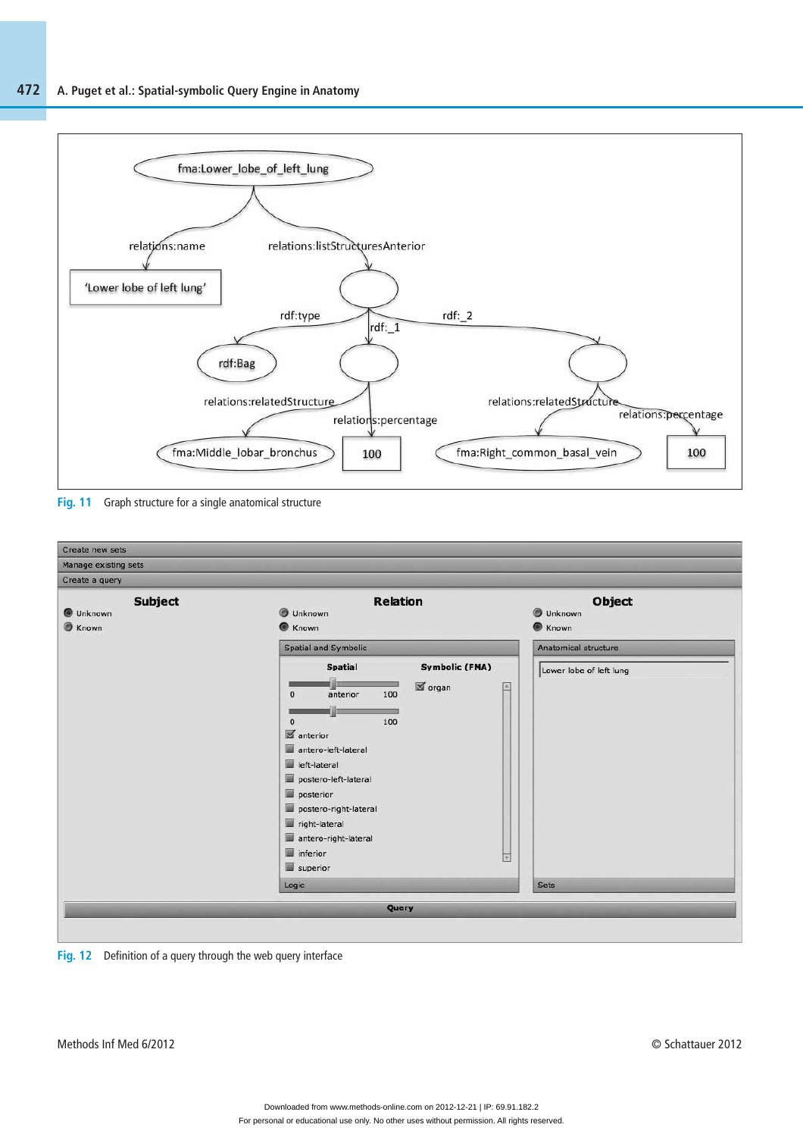

**Fig. 11** Graph structure for a single anatomical structure

| Create new sets                           |                                                                                                                                                                                                                                                                                                                                                                                        |                                          |
|-------------------------------------------|----------------------------------------------------------------------------------------------------------------------------------------------------------------------------------------------------------------------------------------------------------------------------------------------------------------------------------------------------------------------------------------|------------------------------------------|
| Manage existing sets                      |                                                                                                                                                                                                                                                                                                                                                                                        |                                          |
| Create a query                            |                                                                                                                                                                                                                                                                                                                                                                                        |                                          |
| <b>Subject</b><br>Unknown<br><b>Known</b> | <b>Relation</b><br>Unknown<br><b>Known</b>                                                                                                                                                                                                                                                                                                                                             | <b>Object</b><br>Unknown<br><b>Known</b> |
|                                           | Spatial and Symbolic                                                                                                                                                                                                                                                                                                                                                                   | Anatomical structure                     |
|                                           | Symbolic (FMA)<br><b>Spatial</b><br>$\sqrt{2}$ organ<br>anterior<br>100<br>$\mathbf{O}$<br>100<br>$\Omega$<br>$\blacksquare$ anterior<br>antero-left-lateral<br>$\blacksquare$ left-lateral<br>postero-left-lateral<br>$\blacksquare$ posterior<br>postero-right-lateral<br>$\blacksquare$ right-lateral<br>antero-right-lateral<br>$\blacksquare$ inferior<br>$\blacksquare$ superior | Lower lobe of left lung<br>V.            |
|                                           | Logic                                                                                                                                                                                                                                                                                                                                                                                  | <b>Sets</b>                              |
|                                           | Query                                                                                                                                                                                                                                                                                                                                                                                  |                                          |
|                                           |                                                                                                                                                                                                                                                                                                                                                                                        |                                          |

**Fig. 12** Definition of a query through the web query interface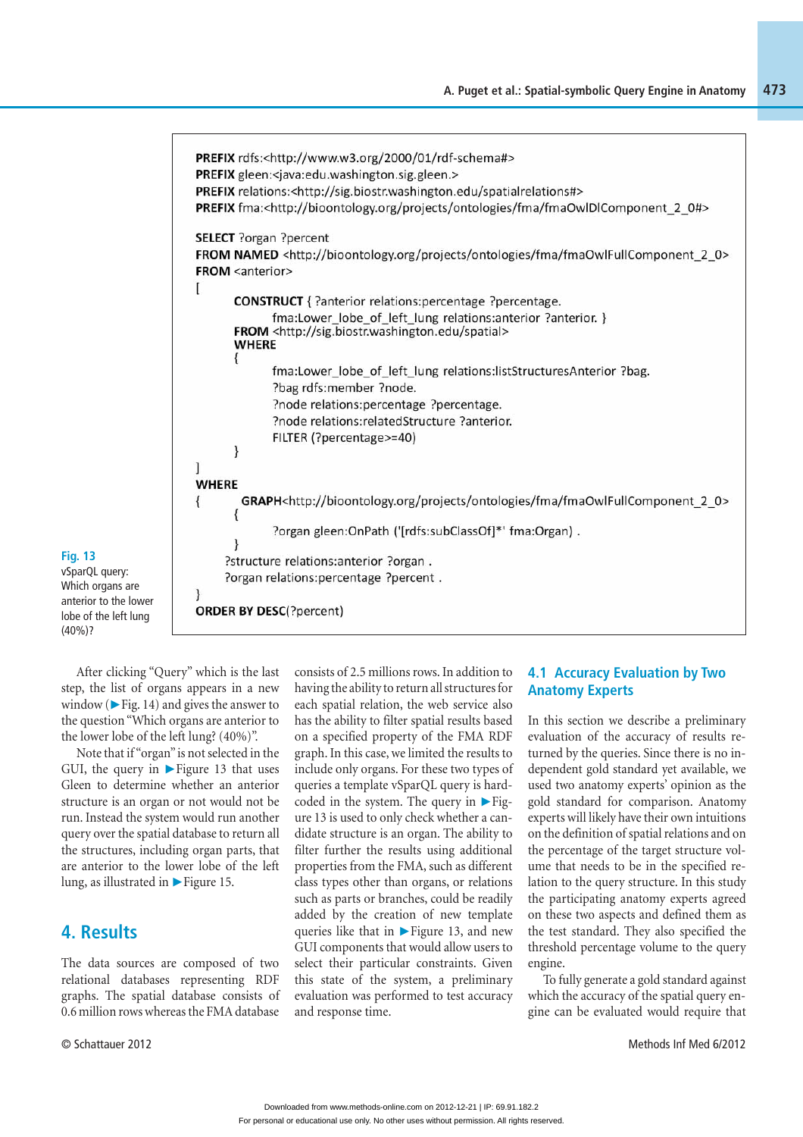

**Fig. 13** vSparQL query: Which organs are anterior to the lower lobe of the left lung (40%)?

After clicking "Query" which is the last step, the list of organs appears in a new window ( $\blacktriangleright$  Fig. 14) and gives the answer to the question "Which organs are anterior to the lower lobe of the left lung? (40%)".

Note that if "organ" is not selected in the GUI, the query in  $\blacktriangleright$  Figure 13 that uses Gleen to determine whether an anterior structure is an organ or not would not be run. Instead the system would run another query over the spatial database to return all the structures, including organ parts, that are anterior to the lower lobe of the left lung, as illustrated in  $\blacktriangleright$  Figure 15.

## **4. Results**

The data sources are composed of two relational databases representing RDF graphs. The spatial database consists of 0.6 million rows whereas the FMA database

consists of 2.5 millions rows. In addition to having the ability to return all structures for each spatial relation, the web service also has the ability to filter spatial results based on a specified property of the FMA RDF graph. In this case, we limited the results to include only organs. For these two types of queries a template vSparQL query is hardcoded in the system. The query in  $\blacktriangleright$  Figure 13 is used to only check whether a candidate structure is an organ. The ability to filter further the results using additional properties from the FMA, such as different class types other than organs, or relations such as parts or branches, could be readily added by the creation of new template queries like that in  $\blacktriangleright$  Figure 13, and new GUI components that would allow users to select their particular constraints. Given this state of the system, a preliminary evaluation was performed to test accuracy and response time.

## **4.1 Accuracy Evaluation by Two Anatomy Experts**

In this section we describe a preliminary evaluation of the accuracy of results returned by the queries. Since there is no independent gold standard yet available, we used two anatomy experts' opinion as the gold standard for comparison. Anatomy experts will likely have their own intuitions on the definition of spatial relations and on the percentage of the target structure volume that needs to be in the specified relation to the query structure. In this study the participating anatomy experts agreed on these two aspects and defined them as the test standard. They also specified the threshold percentage volume to the query engine.

To fully generate a gold standard against which the accuracy of the spatial query engine can be evaluated would require that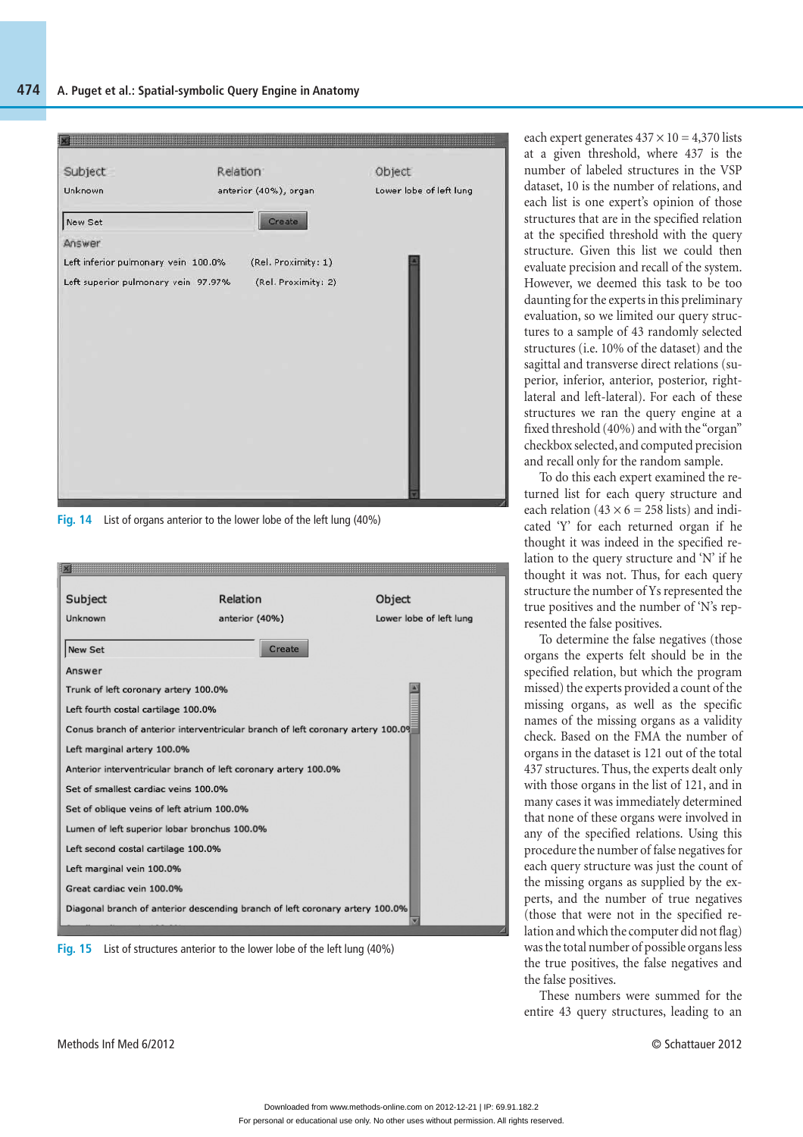

**Fig. 14** List of organs anterior to the lower lobe of the left lung (40%)



**Fig. 15** List of structures anterior to the lower lobe of the left lung (40%)

each expert generates  $437 \times 10 = 4,370$  lists at a given threshold, where 437 is the number of labeled structures in the VSP dataset, 10 is the number of relations, and each list is one expert's opinion of those structures that are in the specified relation at the specified threshold with the query structure. Given this list we could then evaluate precision and recall of the system. However, we deemed this task to be too daunting for the experts in this preliminary evaluation, so we limited our query structures to a sample of 43 randomly selected structures (i.e. 10% of the dataset) and the sagittal and transverse direct relations (superior, inferior, anterior, posterior, rightlateral and left-lateral). For each of these structures we ran the query engine at a fixed threshold (40%) and with the "organ" checkbox selected, and computed precision and recall only for the random sample.

To do this each expert examined the returned list for each query structure and each relation ( $43 \times 6 = 258$  lists) and indicated 'Y' for each returned organ if he thought it was indeed in the specified relation to the query structure and 'N' if he thought it was not. Thus, for each query structure the number of Ys represented the true positives and the number of 'N's represented the false positives.

To determine the false negatives (those organs the experts felt should be in the specified relation, but which the program missed) the experts provided a count of the missing organs, as well as the specific names of the missing organs as a validity check. Based on the FMA the number of organs in the dataset is 121 out of the total 437 structures. Thus, the experts dealt only with those organs in the list of 121, and in many cases it was immediately determined that none of these organs were involved in any of the specified relations. Using this procedure the number of false negatives for each query structure was just the count of the missing organs as supplied by the experts, and the number of true negatives (those that were not in the specified relation and which the computer did not flag) was the total number of possible organs less the true positives, the false negatives and the false positives.

These numbers were summed for the entire 43 query structures, leading to an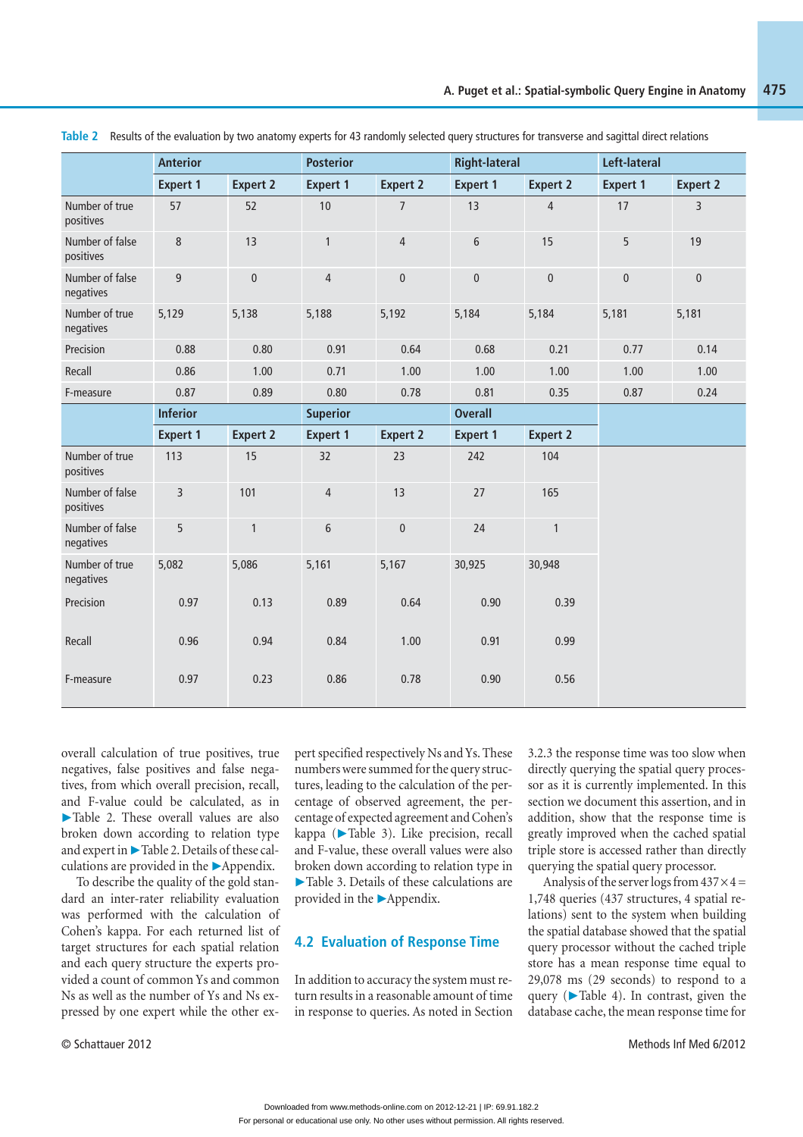|                              | <b>Anterior</b> |                 | <b>Posterior</b> |                 | <b>Right-lateral</b> |                 | Left-lateral    |                 |
|------------------------------|-----------------|-----------------|------------------|-----------------|----------------------|-----------------|-----------------|-----------------|
|                              | <b>Expert 1</b> | <b>Expert 2</b> | <b>Expert 1</b>  | <b>Expert 2</b> | <b>Expert 1</b>      | <b>Expert 2</b> | <b>Expert 1</b> | <b>Expert 2</b> |
| Number of true<br>positives  | 57              | 52              | $10$             | $\overline{7}$  | 13                   | $\overline{4}$  | 17              | 3               |
| Number of false<br>positives | 8               | 13              | $\mathbf{1}$     | $\sqrt{4}$      | $\sqrt{6}$           | 15              | 5               | 19              |
| Number of false<br>negatives | $\overline{9}$  | $\pmb{0}$       | $\overline{4}$   | $\pmb{0}$       | $\pmb{0}$            | $\pmb{0}$       | $\mathbf{0}$    | $\mathbf{0}$    |
| Number of true<br>negatives  | 5,129           | 5,138           | 5,188            | 5,192           | 5,184                | 5,184           | 5,181           | 5,181           |
| Precision                    | 0.88            | 0.80            | 0.91             | 0.64            | 0.68                 | 0.21            | 0.77            | 0.14            |
| Recall                       | 0.86            | 1.00            | 0.71             | 1.00            | 1.00                 | 1.00            | 1.00            | 1.00            |
| F-measure                    | 0.87            | 0.89            | 0.80             | 0.78            | 0.81                 | 0.35            | 0.87            | 0.24            |
|                              | <b>Inferior</b> |                 | <b>Superior</b>  |                 | <b>Overall</b>       |                 |                 |                 |
|                              | <b>Expert 1</b> | <b>Expert 2</b> | <b>Expert 1</b>  | <b>Expert 2</b> | <b>Expert 1</b>      | <b>Expert 2</b> |                 |                 |
| Number of true<br>positives  | 113             | 15              | 32               | 23              | 242                  | 104             |                 |                 |
| Number of false<br>positives | 3               | 101             | $\overline{4}$   | 13              | 27                   | 165             |                 |                 |
| Number of false<br>negatives | 5               | $\mathbf{1}$    | 6                | $\pmb{0}$       | 24                   | $\mathbf{1}$    |                 |                 |
| Number of true<br>negatives  | 5,082           | 5,086           | 5,161            | 5,167           | 30,925               | 30,948          |                 |                 |
| Precision                    | 0.97            | 0.13            | 0.89             | 0.64            | 0.90                 | 0.39            |                 |                 |
| Recall                       | 0.96            | 0.94            | 0.84             | 1.00            | 0.91                 | 0.99            |                 |                 |
| F-measure                    | 0.97            | 0.23            | 0.86             | 0.78            | 0.90                 | 0.56            |                 |                 |

**Table 2** Results of the evaluation by two anatomy experts for 43 randomly selected query structures for transverse and sagittal direct relations

overall calculation of true positives, true negatives, false positives and false negatives, from which overall precision, recall, and F-value could be calculated, as in • Table 2. These overall values are also broken down according to relation type and expert in  $\blacktriangleright$  Table 2. Details of these calculations are provided in the  $\blacktriangleright$  Appendix.

To describe the quality of the gold standard an inter-rater reliability evaluation was performed with the calculation of Cohen's kappa. For each returned list of target structures for each spatial relation and each query structure the experts provided a count of common Ys and common Ns as well as the number of Ys and Ns expressed by one expert while the other expert specified respectively Ns and Ys. These numbers were summed for the query structures, leading to the calculation of the percentage of observed agreement, the percentage of expected agreement and Cohen's kappa (▶Table 3). Like precision, recall and F-value, these overall values were also broken down according to relation type in • Table 3. Details of these calculations are provided in the  $\blacktriangleright$  Appendix.

## **4.2 Evaluation of Response Time**

In addition to accuracy the system must return results in a reasonable amount of time in response to queries. As noted in Section 3.2.3 the response time was too slow when directly querying the spatial query processor as it is currently implemented. In this section we document this assertion, and in addition, show that the response time is greatly improved when the cached spatial triple store is accessed rather than directly querying the spatial query processor.

Analysis of the server logs from  $437 \times 4 =$ 1,748 queries (437 structures, 4 spatial relations) sent to the system when building the spatial database showed that the spatial query processor without the cached triple store has a mean response time equal to 29,078 ms (29 seconds) to respond to a query ( $\blacktriangleright$  Table 4). In contrast, given the database cache, the mean response time for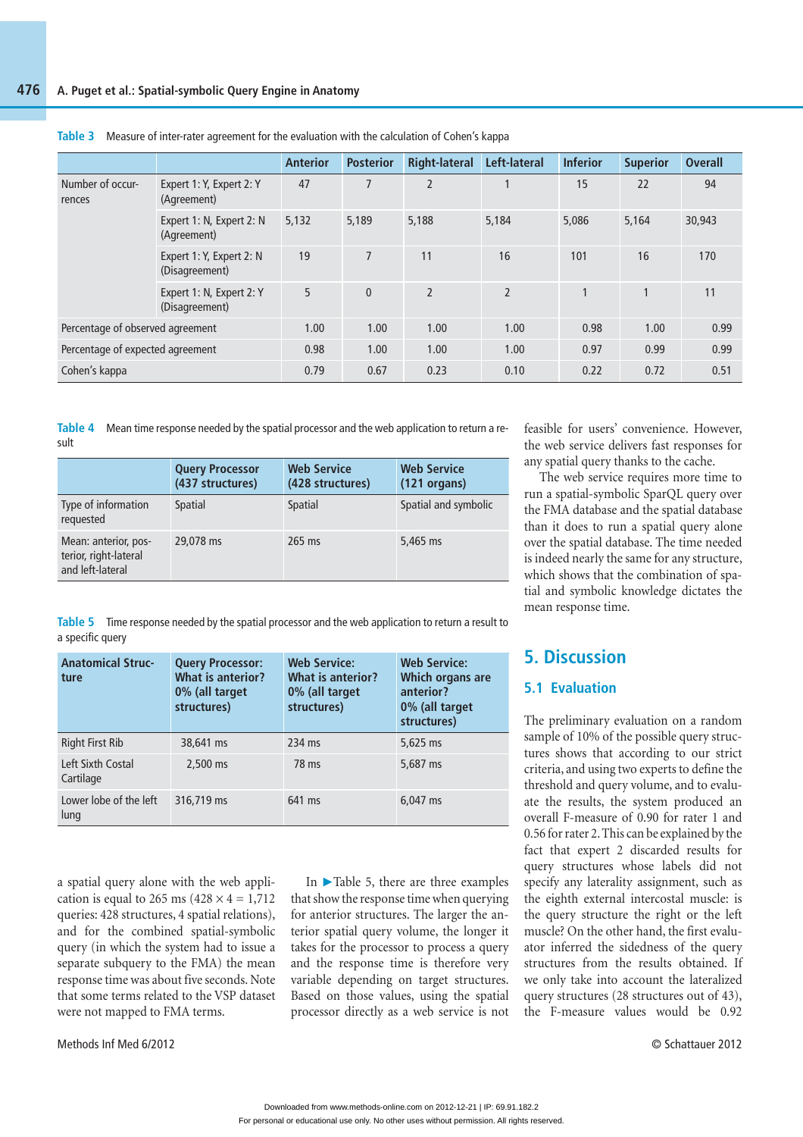|                                  |                                            | Anterior | <b>Posterior</b> | <b>Right-lateral</b> | Left-lateral   | <b>Inferior</b> | <b>Superior</b> | <b>Overall</b> |
|----------------------------------|--------------------------------------------|----------|------------------|----------------------|----------------|-----------------|-----------------|----------------|
| Number of occur-<br>rences       | Expert 1: Y, Expert 2: Y<br>(Agreement)    | 47       | $\overline{7}$   | $\overline{2}$       |                | 15              | 22              | 94             |
|                                  | Expert 1: N, Expert 2: N<br>(Agreement)    | 5.132    | 5,189            | 5,188                | 5,184          | 5,086           | 5,164           | 30,943         |
|                                  | Expert 1: Y, Expert 2: N<br>(Disagreement) | 19       | $7\phantom{.}$   | 11                   | 16             | 101             | 16              | 170            |
|                                  | Expert 1: N, Expert 2: Y<br>(Disagreement) | 5        | $\mathbf{0}$     | $\overline{2}$       | $\overline{2}$ |                 |                 | 11             |
| Percentage of observed agreement |                                            | 1.00     | 1.00             | 1.00                 | 1.00           | 0.98            | 1.00            | 0.99           |
| Percentage of expected agreement | 0.98                                       | 1.00     | 1.00             | 1.00                 | 0.97           | 0.99            | 0.99            |                |
| Cohen's kappa                    | 0.79                                       | 0.67     | 0.23             | 0.10                 | 0.22           | 0.72            | 0.51            |                |

|  |  |  |  |  | Table 3 Measure of inter-rater agreement for the evaluation with the calculation of Cohen's kappa |  |
|--|--|--|--|--|---------------------------------------------------------------------------------------------------|--|
|  |  |  |  |  |                                                                                                   |  |

**Table 4** Mean time response needed by the spatial processor and the web application to return a result

|                                                                   | <b>Query Processor</b><br>(437 structures) | <b>Web Service</b><br>(428 structures) | <b>Web Service</b><br>$(121 \text{ organs})$ |  |
|-------------------------------------------------------------------|--------------------------------------------|----------------------------------------|----------------------------------------------|--|
| Type of information<br>requested                                  | Spatial                                    | Spatial                                | Spatial and symbolic                         |  |
| Mean: anterior, pos-<br>terior, right-lateral<br>and left-lateral | 29,078 ms                                  | $265$ ms                               | 5,465 ms                                     |  |

**Table 5** Time response needed by the spatial processor and the web application to return a result to a specific query

| <b>Anatomical Struc-</b><br>ture | <b>Query Processor:</b><br><b>What is anterior?</b><br>0% (all target<br>structures) | <b>Web Service:</b><br><b>What is anterior?</b><br>0% (all target<br>structures) | <b>Web Service:</b><br>Which organs are<br>anterior?<br>0% (all target<br>structures) |
|----------------------------------|--------------------------------------------------------------------------------------|----------------------------------------------------------------------------------|---------------------------------------------------------------------------------------|
| <b>Right First Rib</b>           | 38,641 ms                                                                            | 234 ms                                                                           | 5.625 ms                                                                              |
| Left Sixth Costal<br>Cartilage   | 2.500 ms                                                                             | 78 ms                                                                            | 5,687 ms                                                                              |
| Lower lobe of the left<br>lung   | 316,719 ms                                                                           | 641 ms                                                                           | 6,047 ms                                                                              |

a spatial query alone with the web application is equal to 265 ms  $(428 \times 4 = 1,712)$ queries: 428 structures, 4 spatial relations), and for the combined spatial-symbolic query (in which the system had to issue a separate subquery to the FMA) the mean response time was about five seconds. Note that some terms related to the VSP dataset were not mapped to FMA terms.

In  $\blacktriangleright$  Table 5, there are three examples that show the response time when querying for anterior structures. The larger the anterior spatial query volume, the longer it takes for the processor to process a query and the response time is therefore very variable depending on target structures. Based on those values, using the spatial processor directly as a web service is not

feasible for users' convenience. However, the web service delivers fast responses for any spatial query thanks to the cache.

The web service requires more time to run a spatial-symbolic SparQL query over the FMA database and the spatial database than it does to run a spatial query alone over the spatial database. The time needed is indeed nearly the same for any structure, which shows that the combination of spatial and symbolic knowledge dictates the mean response time.

# **5. Discussion**

#### **5.1 Evaluation**

The preliminary evaluation on a random sample of 10% of the possible query structures shows that according to our strict criteria, and using two experts to define the threshold and query volume, and to evaluate the results, the system produced an overall F-measure of 0.90 for rater 1 and 0.56 for rater 2. This can be explained by the fact that expert 2 discarded results for query structures whose labels did not specify any laterality assignment, such as the eighth external intercostal muscle: is the query structure the right or the left muscle? On the other hand, the first evaluator inferred the sidedness of the query structures from the results obtained. If we only take into account the lateralized query structures (28 structures out of 43), the F-measure values would be 0.92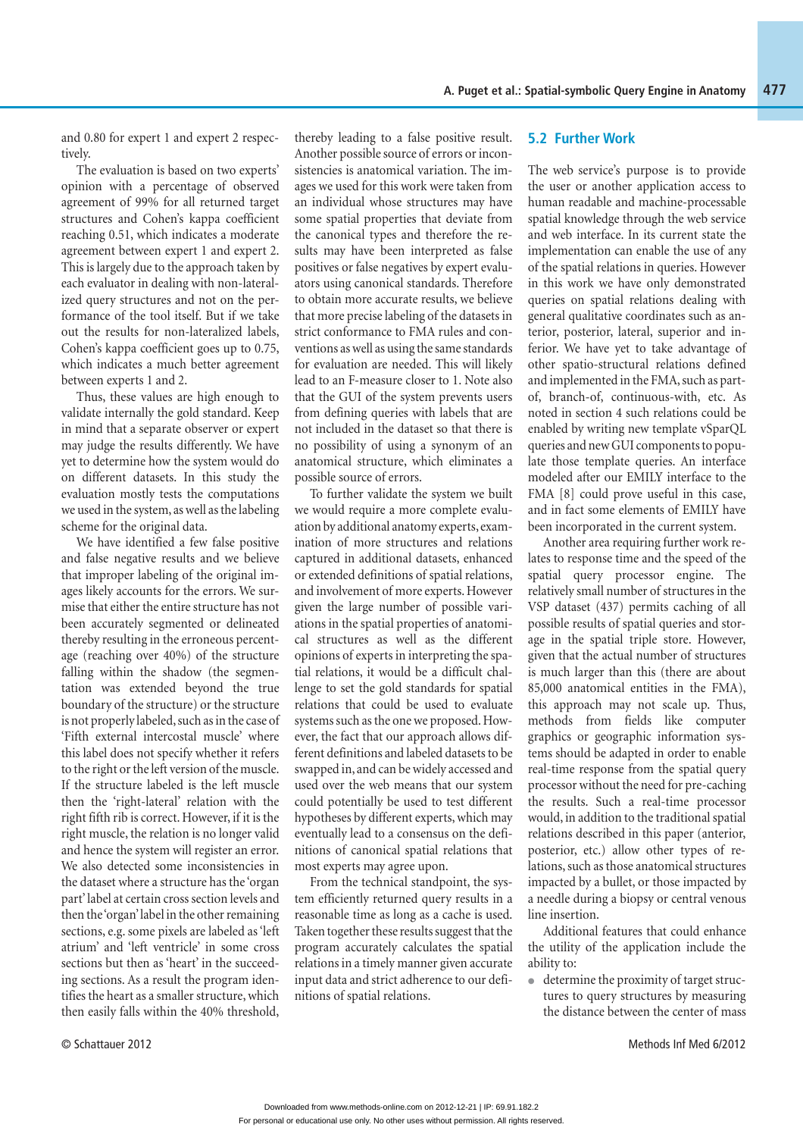and 0.80 for expert 1 and expert 2 respec tively.

The evaluation is based on two experts' opinion with a percentage of observed agreement of 99% for all returned target structures and Cohen's kappa coefficient reaching 0.51, which indicates a moderate agreement between expert 1 and expert 2. This is largely due to the approach taken by each evaluator in dealing with non-lateralized query structures and not on the performance of the tool itself. But if we take out the results for non-lateralized labels, Cohen's kappa coefficient goes up to 0.75, which indicates a much better agreement between experts 1 and 2.

Thus, these values are high enough to validate internally the gold standard. Keep in mind that a separate observer or expert may judge the results differently. We have yet to determine how the system would do on different datasets. In this study the evaluation mostly tests the computations we used in the system, as well as the labeling scheme for the original data.

We have identified a few false positive and false negative results and we believe that improper labeling of the original images likely accounts for the errors. We surmise that either the entire structure has not been accurately segmented or delineated thereby resulting in the erroneous percent age (reaching over 40%) of the structure falling within the shadow (the segmentation was extended beyond the true boundary of the structure) or the structure is not properly labeled, such as in the case of 'Fifth external intercostal muscle' where this label does not specify whether it refers to the right or the left version of the muscle. If the structure labeled is the left muscle then the 'right-lateral' relation with the right fifth rib is correct. However, if it is the right muscle, the relation is no longer valid and hence the system will register an error. We also detected some inconsistencies in the dataset where a structure has the 'organ part' label at certain cross section levels and then the 'organ' label in the other remaining sections, e.g. some pixels are labeled as 'left atrium' and 'left ventricle' in some cross sections but then as 'heart' in the succeeding sections. As a result the program identifies the heart as a smaller structure, which then easily falls within the 40% threshold,

thereby leading to a false positive result. Another possible source of errors or inconsistencies is anatomical variation. The images we used for this work were taken from an individual whose structures may have some spatial properties that deviate from the canonical types and therefore the results may have been interpreted as false positives or false negatives by expert evaluators using canonical standards. Therefore to obtain more accurate results, we believe that more precise labeling of the datasets in strict conformance to FMA rules and conventions as well as using the same standards for evaluation are needed. This will likely lead to an F-measure closer to 1. Note also that the GUI of the system prevents users from defining queries with labels that are not included in the dataset so that there is no possibility of using a synonym of an anatomical structure, which eliminates a possible source of errors.

To further validate the system we built we would require a more complete evaluation by additional anatomy experts, examination of more structures and relations captured in additional datasets, enhanced or extended definitions of spatial relations, and involvement of more experts. However given the large number of possible variations in the spatial properties of anatomical structures as well as the different opinions of experts in interpreting the spatial relations, it would be a difficult challenge to set the gold standards for spatial relations that could be used to evaluate systems such as the one we proposed. However, the fact that our approach allows different definitions and labeled datasets to be swapped in, and can be widely accessed and used over the web means that our system could potentially be used to test different hypotheses by different experts, which may eventually lead to a consensus on the definitions of canonical spatial relations that most experts may agree upon.

From the technical standpoint, the system efficiently returned query results in a reasonable time as long as a cache is used. Taken together these results suggest that the program accurately calculates the spatial relations in a timely manner given accurate input data and strict adherence to our definitions of spatial relations.

#### **5.2 Further Work**

The web service's purpose is to provide the user or another application access to human readable and machine-processable spatial knowledge through the web service and web interface. In its current state the implementation can enable the use of any of the spatial relations in queries. However in this work we have only demonstrated queries on spatial relations dealing with general qualitative coordinates such as anterior, posterior, lateral, superior and inferior. We have yet to take advantage of other spatio-structural relations defined and implemented in the FMA, such as partof, branch-of, continuous-with, etc. As noted in section 4 such relations could be enabled by writing new template vSparQL queries and new GUI components to populate those template queries. An interface modeled after our EMILY interface to the FMA [8] could prove useful in this case, and in fact some elements of EMILY have been incorporated in the current system.

Another area requiring further work relates to response time and the speed of the spatial query processor engine. The relatively small number of structures in the VSP dataset (437) permits caching of all possible results of spatial queries and storage in the spatial triple store. However, given that the actual number of structures is much larger than this (there are about 85,000 anatomical entities in the FMA), this approach may not scale up. Thus, methods from fields like computer graphics or geographic information systems should be adapted in order to enable real-time response from the spatial query processor without the need for pre-caching the results. Such a real-time processor would, in addition to the traditional spatial relations described in this paper (anterior, posterior, etc.) allow other types of relations, such as those anatomical structures impacted by a bullet, or those impacted by a needle during a biopsy or central venous line insertion.

Additional features that could enhance the utility of the application include the ability to:

● determine the proximity of target structures to query structures by measuring the distance between the center of mass